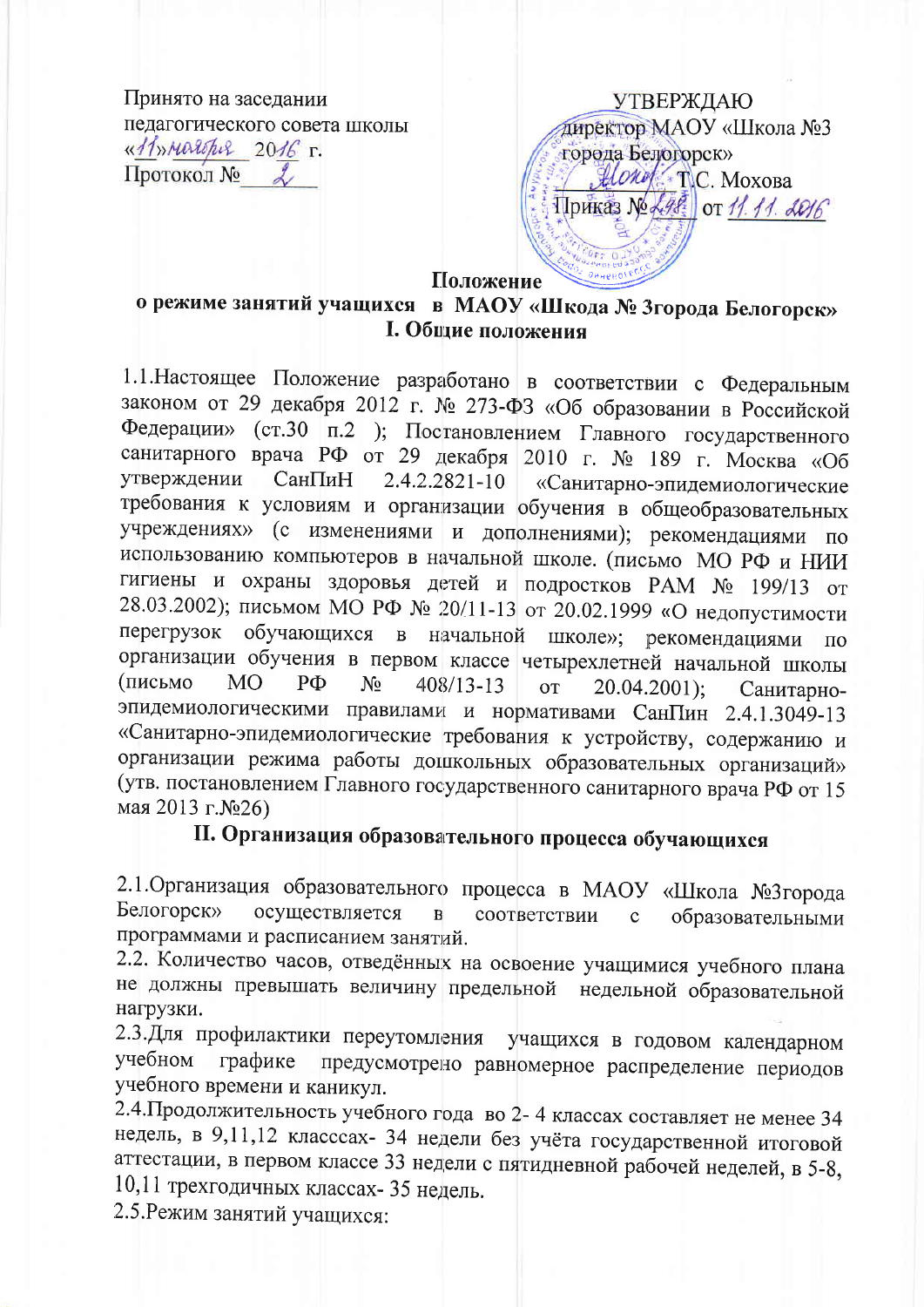Принято на заседании педагогического совета школы «11»Maropis 2016 г. Протокол №

**УТВЕРЖДАЮ** директор МАОУ «Школа №3 города Белогорск»  $\mathcal{H}$ *Orof* TC Moxora Приказ № 248 от 11.11. 2016

Положение

## о режиме занятий учащихся в МАОУ «Шкода № 3города Белогорск» **І. Общие положения**

1.1. Настоящее Положение разработано в соответствии с Федеральным законом от 29 декабря 2012 г. № 273-ФЗ «Об образовании в Российской Федерации» (ст.30 п.2 ); Постановлением Главного государственного санитарного врача РФ от 29 декабря 2010 г. № 189 г. Москва «Об утверждении СанПиН  $2.4.2.2821 - 10$ «Санитарно-эпидемиологические требования к условиям и организации обучения в общеобразовательных учреждениях» (с изменениями и дополнениями); рекомендациями  $\overline{\phantom{0}}$   $\overline{\phantom{0}}$ использованию компьютеров в начальной школе. (письмо МО РФ и НИИ гигиены и охраны здоровья детей и подростков РАМ № 199/13 от 28.03.2002); письмом МО РФ № 20/11-13 от 20.02.1999 «О недопустимости перегрузок обучающихся в начальной школе»; рекомендациями  $\overline{u}$ организации обучения в первом классе четырехлетней начальной школы (письмо MO.  $P\Phi$  $N_2$  $408/13 - 13$ **OT**  $20.04.2001$ : Санитарноэпидемиологическими правилами и нормативами СанПин 2.4.1.3049-13 «Санитарно-эпидемиологические требования к устройству, содержанию и организации режима работы дошкольных образовательных организаций» (утв. постановлением Главного государственного санитарного врача РФ от 15 мая 2013 г.№26)

## II. Организация образовательного процесса обучающихся

2.1. Организация образовательного процесса в МАОУ «Школа №3 города Белогорск» осуществляется  $\overline{B}$ соответствии  $\mathbf{c}$ образовательными программами и расписанием занятий.

2.2. Количество часов, отведённых на освоение учащимися учебного плана не должны превышать величину предельной недельной образовательной нагрузки.

2.3. Для профилактики переутомления учащихся в годовом календарном предусмотрено равномерное распределение периодов учебном графике учебного времени и каникул.

2.4. Продолжительность учебного года во 2-4 классах составляет не менее 34 недель, в 9,11,12 класссах- 34 недели без учёта государственной итоговой аттестации, в первом классе 33 недели с пятидневной рабочей неделей, в 5-8, 10,11 трехгодичных классах- 35 недель.

2.5. Режим занятий учащихся: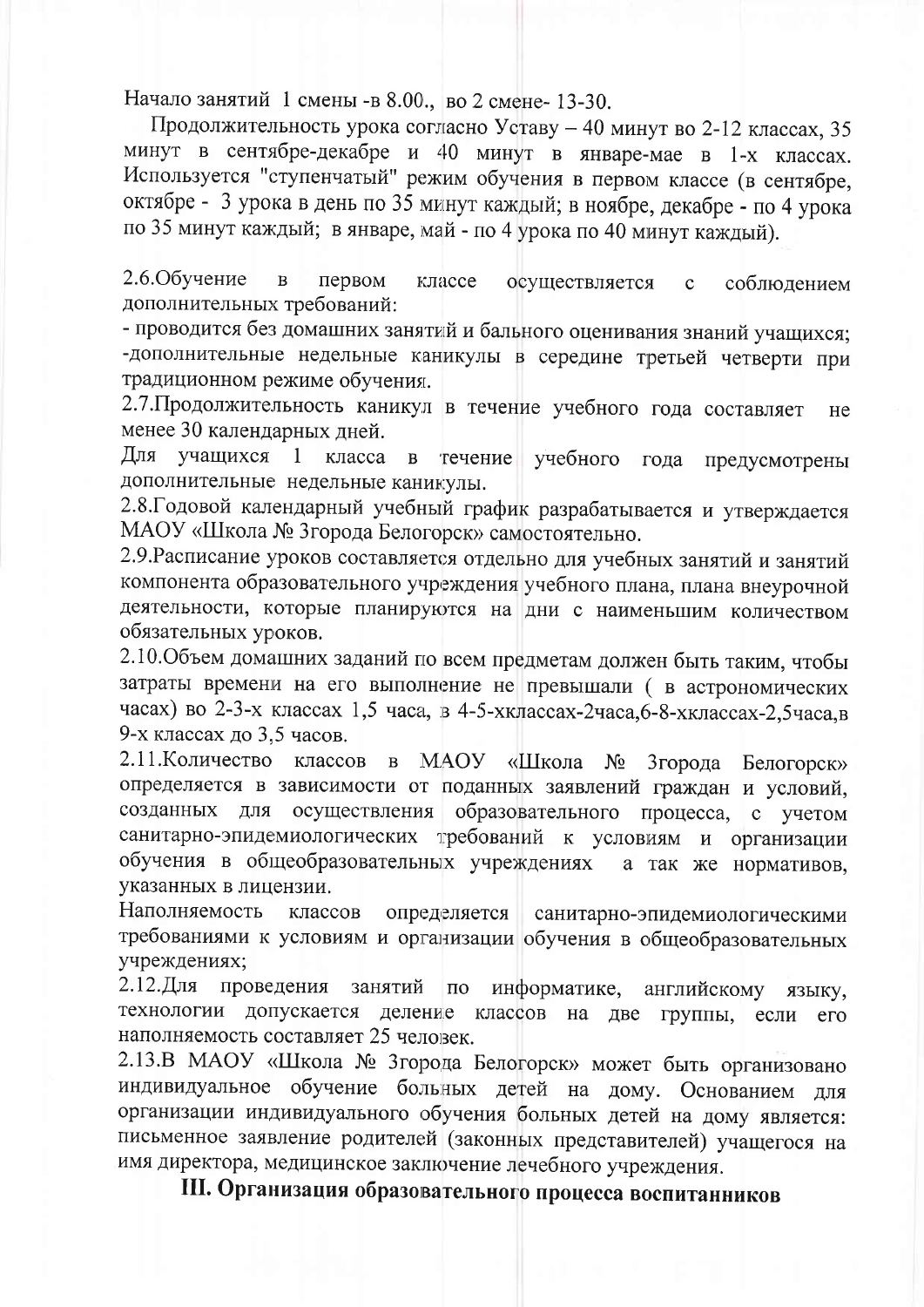Начало занятий 1 смены -в 8.00., во 2 смене-13-30.

Продолжительность урока согласно Уставу - 40 минут во 2-12 классах, 35 минут в сентябре-декабре и 40 минут в январе-мае в 1-х классах. Используется "ступенчатый" режим обучения в первом классе (в сентябре, октябре - 3 урока в день по 35 минут каждый; в ноябре, декабре - по 4 урока по 35 минут каждый; в январе, май - по 4 урока по 40 минут каждый).

2.6. Обучение  $\overline{B}$ первом классе осуществляется  $\mathbf{c}$ соблюдением дополнительных требований:

- проводится без домашних занятий и бального оценивания знаний учащихся; -дополнительные недельные каникулы в середине третьей четверти при традиционном режиме обучения.

2.7. Продолжительность каникул в течение учебного года составляет He менее 30 календарных дней.

Для учашихся течение учебного года предусмотрены  $\overline{1}$ класса  $\mathbf{B}$ дополнительные недельные каникулы.

2.8. Годовой календарный учебный график разрабатывается и утверждается МАОУ «Школа № 3города Белогорск» самостоятельно.

2.9. Расписание уроков составляется отдельно для учебных занятий и занятий компонента образовательного учреждения учебного плана, плана внеурочной деятельности, которые планируются на дни с наименьшим количеством обязательных уроков.

2.10. Объем домашних заданий по всем предметам должен быть таким, чтобы затраты времени на его выполнение не превышали ( в астрономических часах) во 2-3-х классах 1,5 часа, в 4-5-хклассах-2часа, 6-8-хклассах-2, 5часа, в 9-х классах до 3,5 часов.

2.11. Количество классов в МАОУ «Школа № 3города Белогорск» определяется в зависимости от поданных заявлений граждан и условий, созданных для осуществления образовательного процесса, с учетом санитарно-эпидемиологических требований к условиям и организации обучения в общеобразовательных учреждениях а так же нормативов. указанных в лицензии.

Наполняемость классов определяется санитарно-эпидемиологическими требованиями к условиям и организации обучения в общеобразовательных учреждениях:

2.12.Для проведения занятий по информатике, английскому языку, технологии допускается деление классов на две группы, если  $er$ наполняемость составляет 25 человек.

2.13.В МАОУ «Школа № 3города Белогорск» может быть организовано индивидуальное обучение больных детей на дому. Основанием для организации индивидуального обучения больных детей на дому является: письменное заявление родителей (законных представителей) учащегося на имя директора, медицинское заключение лечебного учреждения.

III. Организация образовательного процесса воспитанников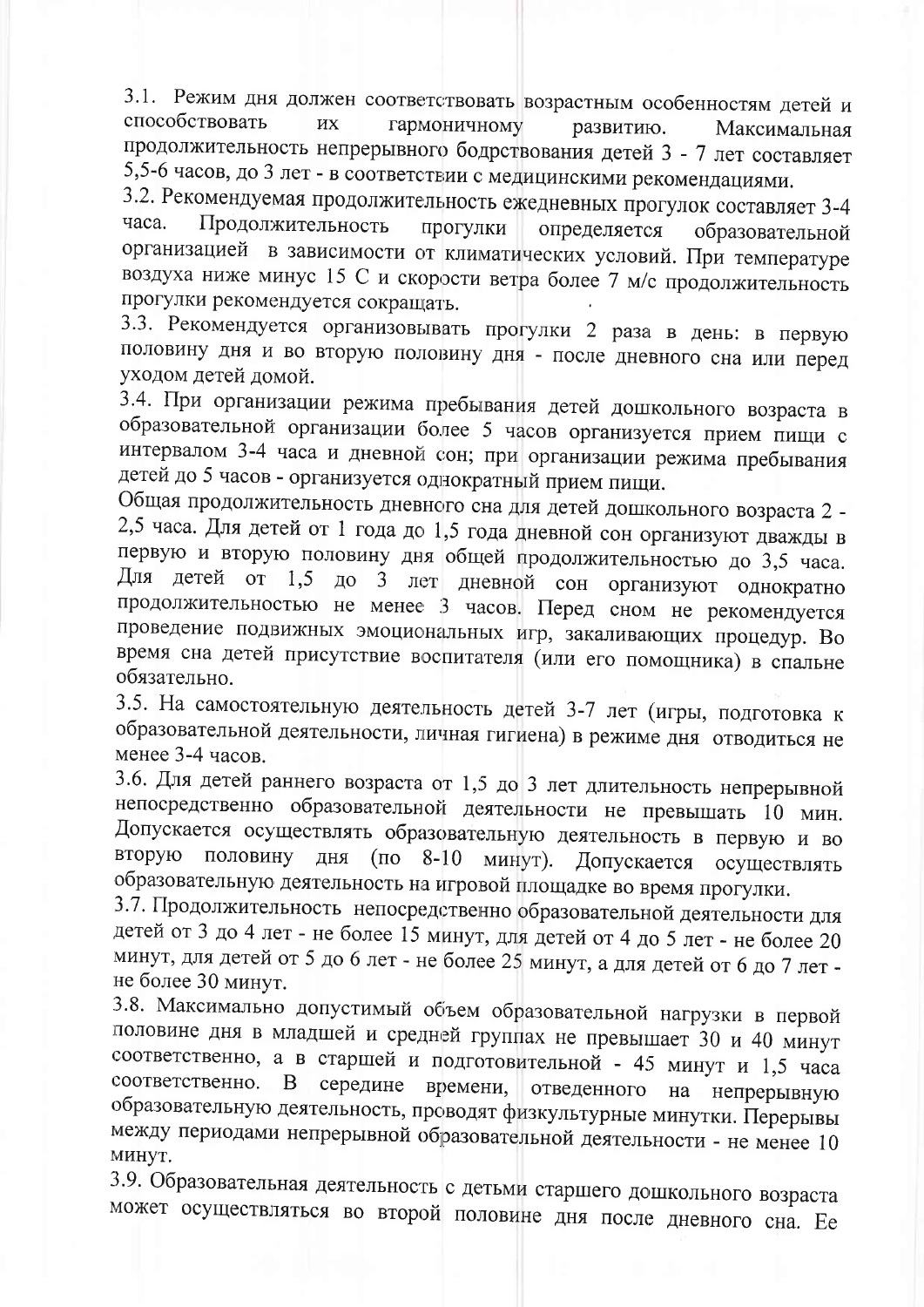3.1. Режим дня должен соответствовать возрастным особенностям детей и способствовать ИХ гармоничному развитию. Максимальная продолжительность непрерывного бодрствования детей 3 - 7 лет составляет 5,5-6 часов, до 3 лет - в соответствии с медицинскими рекомендациями.

3.2. Рекомендуемая продолжительность ежедневных прогулок составляет 3-4 Продолжительность часа. прогулки определяется образовательной организацией в зависимости от климатических условий. При температуре воздуха ниже минус 15 С и скорости ветра более 7 м/с продолжительность прогулки рекомендуется сокращать.

3.3. Рекомендуется организовывать прогулки 2 раза в день: в первую половину дня и во вторую половину дня - после дневного сна или перед уходом детей домой.

3.4. При организации режима пребывания детей дошкольного возраста в образовательной организации более 5 часов организуется прием пищи с интервалом 3-4 часа и дневной сон; при организации режима пребывания детей до 5 часов - организуется однократный прием пищи.

Общая продолжительность дневного сна для детей дошкольного возраста 2 -2,5 часа. Для детей от 1 года до 1,5 года дневной сон организуют дважды в первую и вторую половину дня общей продолжительностью до 3,5 часа. Для детей от 1,5 до 3 лет дневной сон организуют однократно продолжительностью не менее 3 часов. Перед сном не рекомендуется проведение подвижных эмоциональных игр, закаливающих процедур. Во время сна детей присутствие воспитателя (или его помощника) в спальне обязательно.

3.5. На самостоятельную деятельность детей 3-7 лет (игры, подготовка к образовательной деятельности, личная гигиена) в режиме дня отводиться не менее 3-4 часов.

3.6. Для детей раннего возраста от 1,5 до 3 лет длительность непрерывной непосредственно образовательной деятельности не превышать 10 мин. Допускается осуществлять образовательную деятельность в первую и во вторую половину дня (по 8-10 минут). Допускается осуществлять образовательную деятельность на игровой площадке во время прогулки.

3.7. Продолжительность непосредственно образовательной деятельности для детей от 3 до 4 лет - не более 15 минут, для детей от 4 до 5 лет - не более 20 минут, для детей от 5 до 6 лет - не более 25 минут, а для детей от 6 до 7 лет не более 30 минут.

3.8. Максимально допустимый объем образовательной нагрузки в первой половине дня в младшей и средней группах не превышает 30 и 40 минут соответственно, а в старшей и подготовительной - 45 минут и 1,5 часа соответственно. середине времени, B. отведенного на непрерывную образовательную деятельность, проводят физкультурные минутки. Перерывы между периодами непрерывной образовательной деятельности - не менее 10 минут.

3.9. Образовательная деятельность с детьми старшего дошкольного возраста

может осуществляться во второй половине дня после дневного сна. Ее